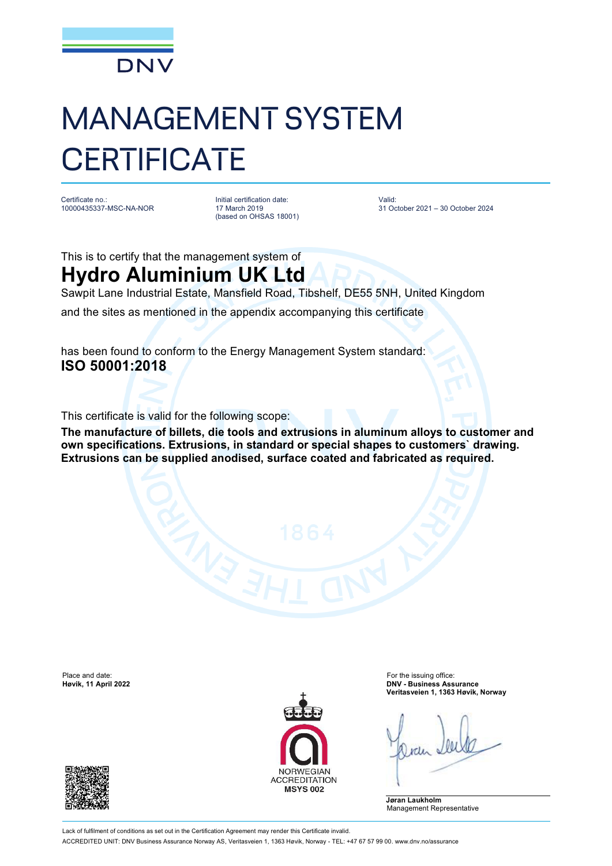

## MANAGEMENT SYSTEM **CERTIFICATE**

Certificate no.: 10000435337-MSC-NA-NOR Initial certification date: 17 March 2019 (based on OHSAS 18001) Valid: 31 October 2021 – 30 October 2024

This is to certify that the management system of **Hydro Aluminium UK Ltd**

Sawpit Lane Industrial Estate, Mansfield Road, Tibshelf, DE55 5NH, United Kingdom

and the sites as mentioned in the appendix accompanying this certificate

has been found to conform to the Energy Management System standard: **ISO 50001:2018**

This certificate is valid for the following scope:

**The manufacture of billets, die tools and extrusions in aluminum alloys to customer and own specifications. Extrusions, in standard or special shapes to customers` drawing. Extrusions can be supplied anodised, surface coated and fabricated as required.**

Place and date: For the issuing office:<br> **Place and date:** For the issuing office:<br> **Place and date:** For the issuing office:<br> **Place and date:** For the issuing office:





**Høvik, 11 April 2022 DNV - Business Assurance Veritasveien 1, 1363 Høvik, Norway**

**Jøran Laukholm** Management Representative